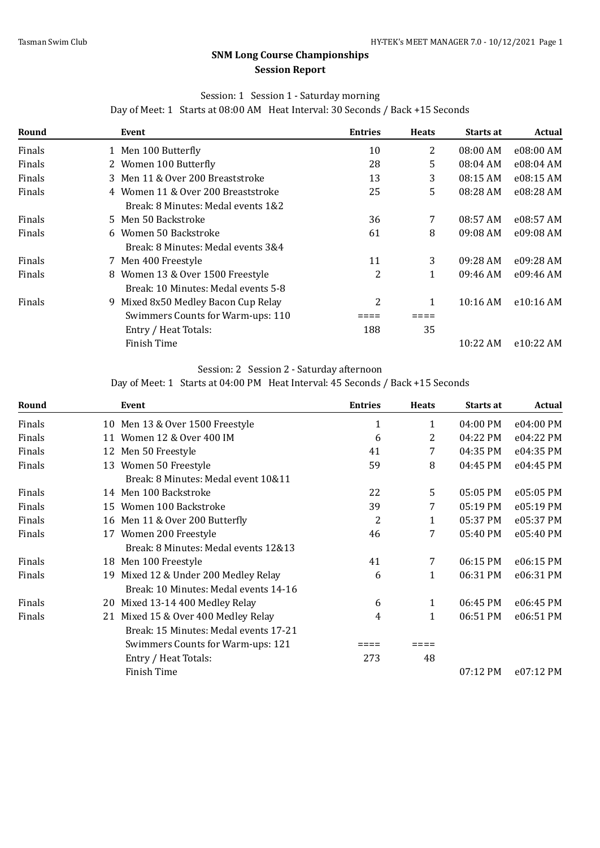# **SNM Long Course Championships Session Report**

### Session: 1 Session 1 - Saturday morning

Day of Meet: 1 Starts at 08:00 AM Heat Interval: 30 Seconds / Back +15 Seconds

| Round  | Event                               | <b>Entries</b> | <b>Heats</b> | Starts at | <b>Actual</b> |
|--------|-------------------------------------|----------------|--------------|-----------|---------------|
| Finals | 1 Men 100 Butterfly                 | 10             | 2            | 08:00 AM  | e08:00 AM     |
| Finals | 2 Women 100 Butterfly               | 28             | 5            | 08:04 AM  | e08:04 AM     |
| Finals | 3 Men 11 & Over 200 Breaststroke    | 13             | 3            | 08:15 AM  | e08:15 AM     |
| Finals | 4 Women 11 & Over 200 Breaststroke  | 25             | 5            | 08:28 AM  | e08:28 AM     |
|        | Break: 8 Minutes: Medal events 1&2  |                |              |           |               |
| Finals | 5 Men 50 Backstroke                 | 36             | 7            | 08:57 AM  | e08:57 AM     |
| Finals | 6 Women 50 Backstroke               | 61             | 8            | 09:08 AM  | e09:08 AM     |
|        | Break: 8 Minutes: Medal events 3&4  |                |              |           |               |
| Finals | 7 Men 400 Freestyle                 | 11             | 3            | 09:28 AM  | e09:28 AM     |
| Finals | 8 Women 13 & Over 1500 Freestyle    | 2              | 1            | 09:46 AM  | e09:46 AM     |
|        | Break: 10 Minutes: Medal events 5-8 |                |              |           |               |
| Finals | 9 Mixed 8x50 Medley Bacon Cup Relay | 2              | 1            | 10:16 AM  | e10:16 AM     |
|        | Swimmers Counts for Warm-ups: 110   |                |              |           |               |
|        | Entry / Heat Totals:                | 188            | 35           |           |               |
|        | Finish Time                         |                |              | 10:22 AM  | e10:22 AM     |

### Session: 2 Session 2 - Saturday afternoon

Day of Meet: 1 Starts at 04:00 PM Heat Interval: 45 Seconds / Back +15 Seconds

| Round  |    | Event                                 | <b>Entries</b> | <b>Heats</b> | <b>Starts at</b> | <b>Actual</b> |
|--------|----|---------------------------------------|----------------|--------------|------------------|---------------|
| Finals |    | 10 Men 13 & Over 1500 Freestyle       | 1              | $\mathbf{1}$ | 04:00 PM         | e04:00 PM     |
| Finals | 11 | Women 12 & Over 400 IM                | 6              | 2            | 04:22 PM         | e04:22 PM     |
| Finals |    | 12 Men 50 Freestyle                   | 41             | 7            | 04:35 PM         | e04:35 PM     |
| Finals | 13 | Women 50 Freestyle                    | 59             | 8            | 04:45 PM         | e04:45 PM     |
|        |    | Break: 8 Minutes: Medal event 10&11   |                |              |                  |               |
| Finals |    | 14 Men 100 Backstroke                 | 22             | 5            | 05:05 PM         | e05:05 PM     |
| Finals | 15 | Women 100 Backstroke                  | 39             | 7            | 05:19 PM         | e05:19 PM     |
| Finals | 16 | Men 11 & Over 200 Butterfly           | 2              | 1            | 05:37 PM         | e05:37 PM     |
| Finals | 17 | Women 200 Freestyle                   | 46             | 7            | 05:40 PM         | e05:40 PM     |
|        |    | Break: 8 Minutes: Medal events 12&13  |                |              |                  |               |
| Finals | 18 | Men 100 Freestyle                     | 41             | 7            | 06:15 PM         | e06:15 PM     |
| Finals | 19 | Mixed 12 & Under 200 Medley Relay     | 6              | $\mathbf{1}$ | 06:31 PM         | e06:31 PM     |
|        |    | Break: 10 Minutes: Medal events 14-16 |                |              |                  |               |
| Finals | 20 | Mixed 13-14 400 Medley Relay          | 6              | $\mathbf{1}$ | 06:45 PM         | e06:45 PM     |
| Finals |    | 21 Mixed 15 & Over 400 Medley Relay   | 4              | $\mathbf{1}$ | 06:51 PM         | e06:51 PM     |
|        |    | Break: 15 Minutes: Medal events 17-21 |                |              |                  |               |
|        |    | Swimmers Counts for Warm-ups: 121     |                |              |                  |               |
|        |    | Entry / Heat Totals:                  | 273            | 48           |                  |               |
|        |    | Finish Time                           |                |              | 07:12 PM         | e07:12 PM     |